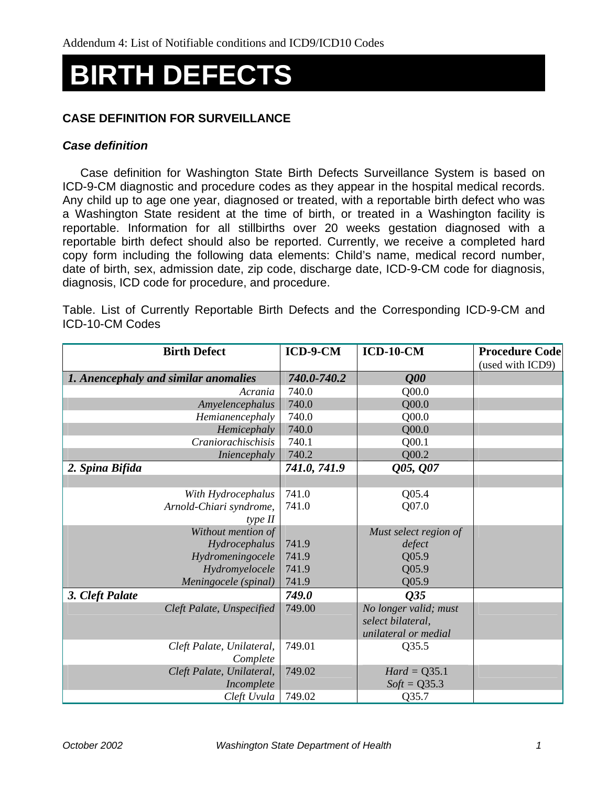# **BIRTH DEFECTS**

### **CASE DEFINITION FOR SURVEILLANCE**

#### *Case definition*

Case definition for Washington State Birth Defects Surveillance System is based on ICD-9-CM diagnostic and procedure codes as they appear in the hospital medical records. Any child up to age one year, diagnosed or treated, with a reportable birth defect who was a Washington State resident at the time of birth, or treated in a Washington facility is reportable. Information for all stillbirths over 20 weeks gestation diagnosed with a reportable birth defect should also be reported. Currently, we receive a completed hard copy form including the following data elements: Child's name, medical record number, date of birth, sex, admission date, zip code, discharge date, ICD-9-CM code for diagnosis, diagnosis, ICD code for procedure, and procedure.

Table. List of Currently Reportable Birth Defects and the Corresponding ICD-9-CM and ICD-10-CM Codes

| <b>Birth Defect</b>                  | ICD-9-CM     | $ICD-10-CM$           | <b>Procedure Code</b> |
|--------------------------------------|--------------|-----------------------|-----------------------|
|                                      |              |                       | (used with ICD9)      |
| 1. Anencephaly and similar anomalies | 740.0-740.2  | Q00                   |                       |
| Acrania                              | 740.0        | Q00.0                 |                       |
| Amyelencephalus                      | 740.0        | Q00.0                 |                       |
| Hemianencephaly                      | 740.0        | Q00.0                 |                       |
| Hemicephaly                          | 740.0        | Q00.0                 |                       |
| Craniorachischisis                   | 740.1        | Q00.1                 |                       |
| Iniencephaly                         | 740.2        | Q00.2                 |                       |
| 2. Spina Bifida                      | 741.0, 741.9 | Q05, Q07              |                       |
|                                      |              |                       |                       |
| With Hydrocephalus                   | 741.0        | Q05.4                 |                       |
| Arnold-Chiari syndrome,              | 741.0        | Q07.0                 |                       |
| type II                              |              |                       |                       |
| Without mention of                   |              | Must select region of |                       |
| Hydrocephalus                        | 741.9        | defect                |                       |
| Hydromeningocele                     | 741.9        | Q05.9                 |                       |
| Hydromyelocele                       | 741.9        | Q05.9                 |                       |
| Meningocele (spinal)                 | 741.9        | Q05.9                 |                       |
| 3. Cleft Palate                      | 749.0        | Q35                   |                       |
| Cleft Palate, Unspecified            | 749.00       | No longer valid; must |                       |
|                                      |              | select bilateral,     |                       |
|                                      |              | unilateral or medial  |                       |
| Cleft Palate, Unilateral,            | 749.01       | Q35.5                 |                       |
| Complete                             |              |                       |                       |
| Cleft Palate, Unilateral,            | 749.02       | $Hard = Q35.1$        |                       |
| Incomplete                           |              | $Soft = Q35.3$        |                       |
| Cleft Uvula                          | 749.02       | Q35.7                 |                       |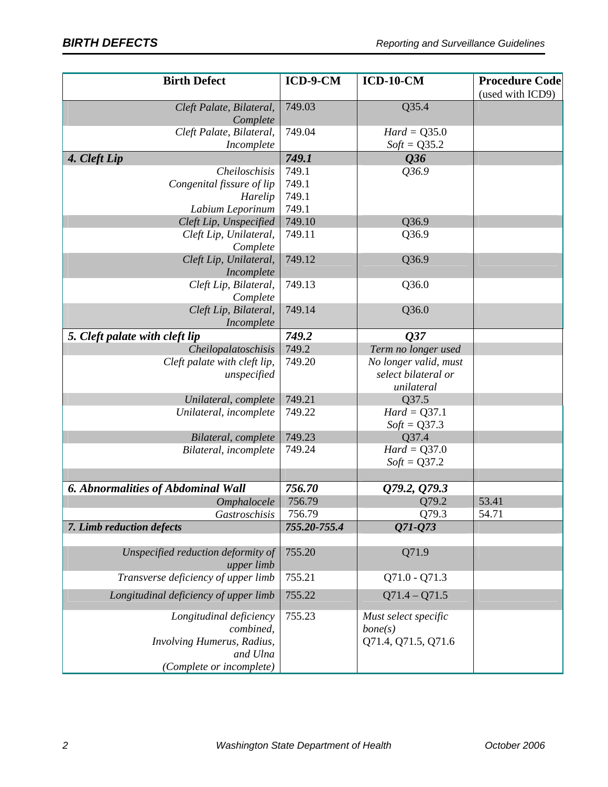| <b>Birth Defect</b>                              | ICD-9-CM     | $ICD-10-CM$           | <b>Procedure Code</b> |
|--------------------------------------------------|--------------|-----------------------|-----------------------|
|                                                  |              |                       | (used with ICD9)      |
| Cleft Palate, Bilateral,<br>Complete             | 749.03       | Q35.4                 |                       |
| Cleft Palate, Bilateral,                         | 749.04       | $Hard = Q35.0$        |                       |
| Incomplete                                       |              | $Soft = Q35.2$        |                       |
| 4. Cleft Lip                                     | 749.1        | Q36                   |                       |
| Cheiloschisis                                    | 749.1        | Q36.9                 |                       |
| Congenital fissure of lip                        | 749.1        |                       |                       |
| Harelip                                          | 749.1        |                       |                       |
| Labium Leporinum                                 | 749.1        |                       |                       |
| Cleft Lip, Unspecified                           | 749.10       | Q36.9                 |                       |
| Cleft Lip, Unilateral,<br>Complete               | 749.11       | Q36.9                 |                       |
| Cleft Lip, Unilateral,<br>Incomplete             | 749.12       | Q36.9                 |                       |
| Cleft Lip, Bilateral,                            | 749.13       | Q36.0                 |                       |
| Complete                                         |              |                       |                       |
| Cleft Lip, Bilateral,                            | 749.14       | Q36.0                 |                       |
| Incomplete                                       |              |                       |                       |
| 5. Cleft palate with cleft lip                   | 749.2        | Q37                   |                       |
| Cheilopalatoschisis                              | 749.2        | Term no longer used   |                       |
| Cleft palate with cleft lip,                     | 749.20       | No longer valid, must |                       |
| unspecified                                      |              | select bilateral or   |                       |
|                                                  |              | unilateral            |                       |
| Unilateral, complete                             | 749.21       | Q37.5                 |                       |
| Unilateral, incomplete                           | 749.22       | $Hard = Q37.1$        |                       |
|                                                  |              | $Soft = Q37.3$        |                       |
| Bilateral, complete                              | 749.23       | Q37.4                 |                       |
| Bilateral, incomplete                            | 749.24       | $Hard = Q37.0$        |                       |
|                                                  |              | $Soft = Q37.2$        |                       |
| 6. Abnormalities of Abdominal Wall               | 756.70       | Q79.2, Q79.3          |                       |
| Omphalocele                                      | 756.79       | Q79.2                 | 53.41                 |
| Gastroschisis                                    | 756.79       | Q79.3                 | 54.71                 |
| 7. Limb reduction defects                        | 755.20-755.4 | 071-073               |                       |
|                                                  |              |                       |                       |
| Unspecified reduction deformity of<br>upper limb | 755.20       | Q71.9                 |                       |
| Transverse deficiency of upper limb              | 755.21       | $Q71.0 - Q71.3$       |                       |
| Longitudinal deficiency of upper limb            | 755.22       | $Q71.4 - Q71.5$       |                       |
| Longitudinal deficiency                          | 755.23       | Must select specific  |                       |
| combined,                                        |              | bone(s)               |                       |
| Involving Humerus, Radius,                       |              | Q71.4, Q71.5, Q71.6   |                       |
| and Ulna                                         |              |                       |                       |
| (Complete or incomplete)                         |              |                       |                       |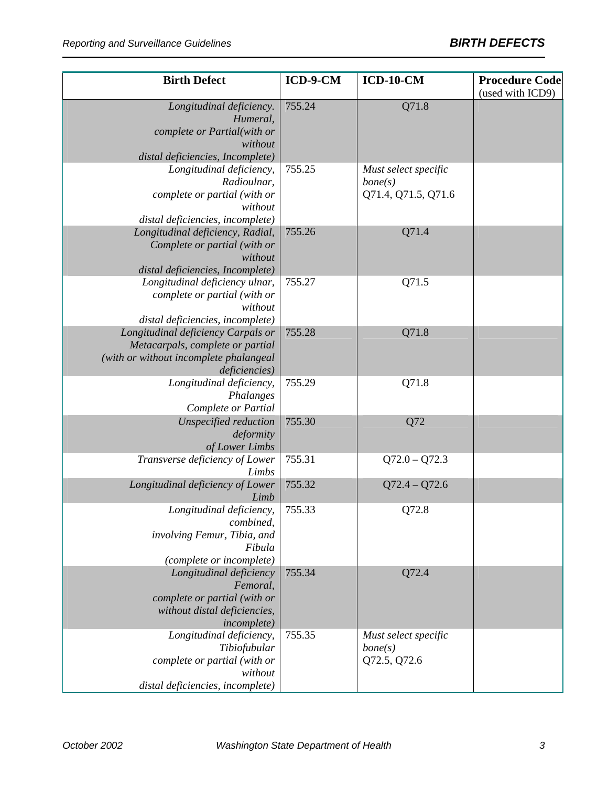| <b>Birth Defect</b>                                                                                                               | ICD-9-CM | $ICD-10-CM$                                            | <b>Procedure Code</b><br>(used with ICD9) |
|-----------------------------------------------------------------------------------------------------------------------------------|----------|--------------------------------------------------------|-------------------------------------------|
| Longitudinal deficiency.<br>Humeral,<br>complete or Partial(with or<br>without<br>distal deficiencies, Incomplete)                | 755.24   | Q71.8                                                  |                                           |
| Longitudinal deficiency,<br>Radioulnar,<br>complete or partial (with or<br>without<br>distal deficiencies, incomplete)            | 755.25   | Must select specific<br>bone(s)<br>Q71.4, Q71.5, Q71.6 |                                           |
| Longitudinal deficiency, Radial,<br>Complete or partial (with or<br>without<br>distal deficiencies, Incomplete)                   | 755.26   | Q71.4                                                  |                                           |
| Longitudinal deficiency ulnar,<br>complete or partial (with or<br>without<br>distal deficiencies, incomplete)                     | 755.27   | Q71.5                                                  |                                           |
| Longitudinal deficiency Carpals or<br>Metacarpals, complete or partial<br>(with or without incomplete phalangeal<br>deficiencies) | 755.28   | Q71.8                                                  |                                           |
| Longitudinal deficiency,<br>Phalanges<br>Complete or Partial                                                                      | 755.29   | Q71.8                                                  |                                           |
| Unspecified reduction<br>deformity<br>of Lower Limbs                                                                              | 755.30   | Q72                                                    |                                           |
| Transverse deficiency of Lower<br>Limbs                                                                                           | 755.31   | $Q72.0 - Q72.3$                                        |                                           |
| Longitudinal deficiency of Lower<br>Limb                                                                                          | 755.32   | $Q72.4 - Q72.6$                                        |                                           |
| Longitudinal deficiency,<br>combined,<br>involving Femur, Tibia, and<br>Fibula<br>(complete or incomplete)                        | 755.33   | Q72.8                                                  |                                           |
| Longitudinal deficiency<br>Femoral,<br>complete or partial (with or<br>without distal deficiencies,<br><i>incomplete</i> )        | 755.34   | Q72.4                                                  |                                           |
| Longitudinal deficiency,<br>Tibiofubular<br>complete or partial (with or<br>without<br>distal deficiencies, incomplete)           | 755.35   | Must select specific<br>bone(s)<br>Q72.5, Q72.6        |                                           |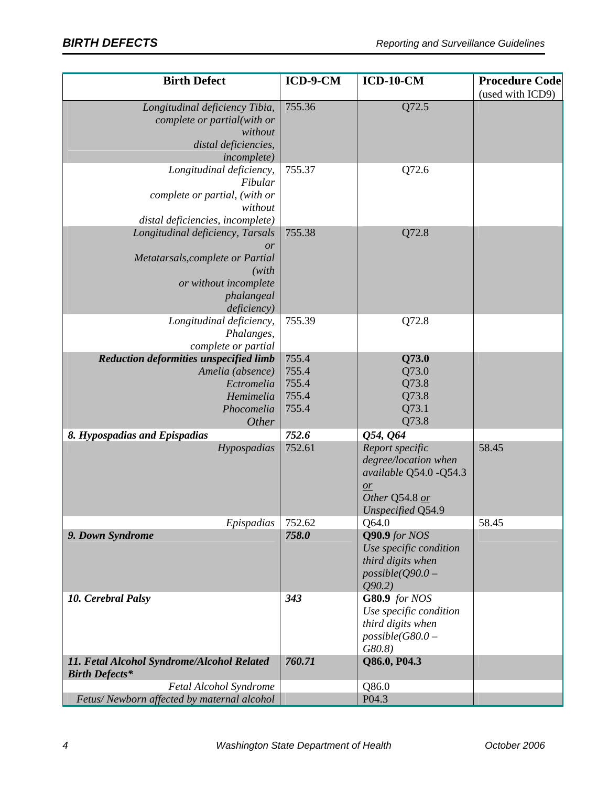| <b>Birth Defect</b>                                                                                                                        | ICD-9-CM                                  | $ICD-10-CM$                                                                                                     | <b>Procedure Code</b> |
|--------------------------------------------------------------------------------------------------------------------------------------------|-------------------------------------------|-----------------------------------------------------------------------------------------------------------------|-----------------------|
| Longitudinal deficiency Tibia,<br>complete or partial(with or<br>without<br>distal deficiencies,<br><i>incomplete</i> )                    | 755.36                                    | Q72.5                                                                                                           | (used with ICD9)      |
| Longitudinal deficiency,<br>Fibular<br>complete or partial, (with or<br>without<br>distal deficiencies, incomplete)                        | 755.37                                    | Q72.6                                                                                                           |                       |
| Longitudinal deficiency, Tarsals<br>or<br>Metatarsals, complete or Partial<br>(with)<br>or without incomplete<br>phalangeal<br>deficiency) | 755.38                                    | Q72.8                                                                                                           |                       |
| Longitudinal deficiency,<br>Phalanges,<br>complete or partial                                                                              | 755.39                                    | Q72.8                                                                                                           |                       |
| Reduction deformities unspecified limb<br>Amelia (absence)<br>Ectromelia<br>Hemimelia<br>Phocomelia<br>Other                               | 755.4<br>755.4<br>755.4<br>755.4<br>755.4 | Q73.0<br>Q73.0<br>Q73.8<br>Q73.8<br>Q73.1<br>Q73.8                                                              |                       |
| 8. Hypospadias and Epispadias                                                                                                              | 752.6                                     | Q54, Q64                                                                                                        |                       |
| Hypospadias                                                                                                                                | 752.61                                    | Report specific<br>degree/location when<br>available Q54.0 - Q54.3<br>or<br>Other Q54.8 or<br>Unspecified Q54.9 | 58.45                 |
| Epispadias                                                                                                                                 | 752.62                                    | Q64.0                                                                                                           | 58.45                 |
| 9. Down Syndrome                                                                                                                           | 758.0                                     | Q90.9 for NOS<br>Use specific condition<br>third digits when<br>$possible(Q90.0 -$<br>Q90.2                     |                       |
| 10. Cerebral Palsy                                                                                                                         | 343                                       | G80.9 for NOS<br>Use specific condition<br>third digits when<br>$possible(G80.0 -$<br>$G80.8$ )                 |                       |
| 11. Fetal Alcohol Syndrome/Alcohol Related<br><b>Birth Defects*</b>                                                                        | 760.71                                    | Q86.0, P04.3                                                                                                    |                       |
| Fetal Alcohol Syndrome                                                                                                                     |                                           | Q86.0                                                                                                           |                       |
| Fetus/Newborn affected by maternal alcohol                                                                                                 |                                           | P04.3                                                                                                           |                       |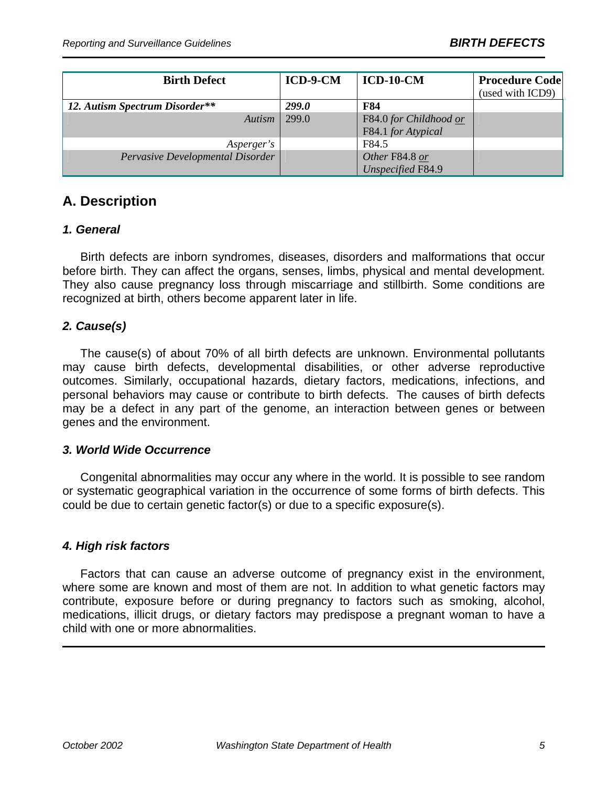| <b>Birth Defect</b>              | ICD-9-CM     | $ICD-10-CM$              | <b>Procedure Code</b> |
|----------------------------------|--------------|--------------------------|-----------------------|
|                                  |              |                          | (used with ICD9)      |
| 12. Autism Spectrum Disorder**   | <b>299.0</b> | F84                      |                       |
| Autism                           | 299.0        | F84.0 for Childhood or   |                       |
|                                  |              | F84.1 for Atypical       |                       |
| Asperger's                       |              | F84.5                    |                       |
| Pervasive Developmental Disorder |              | Other F84.8 or           |                       |
|                                  |              | <b>Unspecified F84.9</b> |                       |

## **A. Description**

#### *1. General*

Birth defects are inborn syndromes, diseases, disorders and malformations that occur before birth. They can affect the organs, senses, limbs, physical and mental development. They also cause pregnancy loss through miscarriage and stillbirth. Some conditions are recognized at birth, others become apparent later in life.

#### *2. Cause(s)*

The cause(s) of about 70% of all birth defects are unknown. Environmental pollutants may cause birth defects, developmental disabilities, or other adverse reproductive outcomes. Similarly, occupational hazards, dietary factors, medications, infections, and personal behaviors may cause or contribute to birth defects. The causes of birth defects may be a defect in any part of the genome, an interaction between genes or between genes and the environment.

#### *3. World Wide Occurrence*

Congenital abnormalities may occur any where in the world. It is possible to see random or systematic geographical variation in the occurrence of some forms of birth defects. This could be due to certain genetic factor(s) or due to a specific exposure(s).

#### *4. High risk factors*

Factors that can cause an adverse outcome of pregnancy exist in the environment, where some are known and most of them are not. In addition to what genetic factors may contribute, exposure before or during pregnancy to factors such as smoking, alcohol, medications, illicit drugs, or dietary factors may predispose a pregnant woman to have a child with one or more abnormalities.

֦